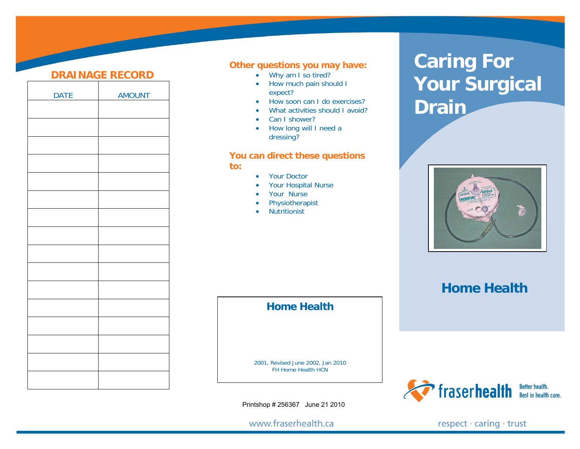## **DRAINAGE RECORD**

| <b>DATE</b> | <b>AMOUNT</b> |
|-------------|---------------|
|             |               |
|             |               |
|             |               |
|             |               |
|             |               |
|             |               |
|             |               |
|             |               |
|             |               |
|             |               |
|             |               |
|             |               |
|             |               |
|             |               |
|             |               |
|             |               |
|             |               |
|             |               |

## **Other questions you may have:**

- Why am I so tired?
- • How much pain should I expect?
- •How soon can I do exercises?
- •What activities should I avoid?
- •Can I shower?
- How long will I need a dressing?

### **You can direct these questions to:**

- •Your Doctor
- •Your Hospital Nurse
- •Your Nurse
- •Physiotherapist
- •**Nutritionist**

# **Caring For Your Surgical Drain**



**Home Health**



## **Home Health**

2001, Revised June 2002, Jan 2010 FH Home Health HCN

Printshop # 256367 June 21 2010

www.fraserhealth.ca

respect · caring · trust